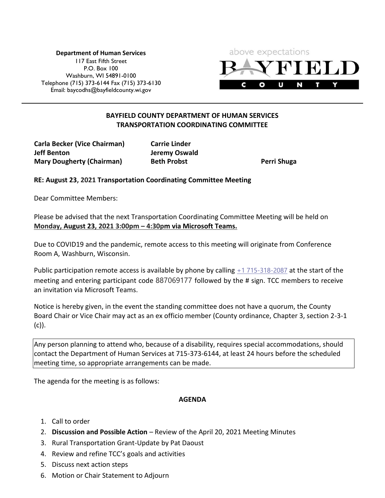**Department of Human Services** 117 East Fifth Street P.O. Box 100 Washburn, WI 54891-0100 Telephone (715) 373-6144 Fax (715) 373-6130 Email: [baycodhs@bayfieldcounty.wi.gov](mailto:baycodhs@bayfieldcounty.wi.gov)



## **BAYFIELD COUNTY DEPARTMENT OF HUMAN SERVICES TRANSPORTATION COORDINATING COMMITTEE**

**Carla Becker (Vice Chairman) Carrie Linder Jeff Benton Jeremy Oswald Mary Dougherty (Chairman) Beth Probst Perri Shuga**

**RE: August 23, 2021 Transportation Coordinating Committee Meeting**

Dear Committee Members:

Please be advised that the next Transportation Coordinating Committee Meeting will be held on **Monday, August 23, 2021 3:00pm – 4:30pm via Microsoft Teams.**

Due to COVID19 and the pandemic, remote access to this meeting will originate from Conference Room A, Washburn, Wisconsin.

Public participation remote access is available by phone by calling  $+1$  715-318-2087 at the start of the meeting and entering participant code 887069177 followed by the # sign. TCC members to receive an invitation via Microsoft Teams.

Notice is hereby given, in the event the standing committee does not have a quorum, the County Board Chair or Vice Chair may act as an ex officio member (County ordinance, Chapter 3, section 2-3-1 (c)).

Any person planning to attend who, because of a disability, requires special accommodations, should contact the Department of Human Services at 715-373-6144, at least 24 hours before the scheduled meeting time, so appropriate arrangements can be made.

The agenda for the meeting is as follows:

## **AGENDA**

- 1. Call to order
- 2. **Discussion and Possible Action** Review of the April 20, 2021 Meeting Minutes
- 3. Rural Transportation Grant-Update by Pat Daoust
- 4. Review and refine TCC's goals and activities
- 5. Discuss next action steps
- 6. Motion or Chair Statement to Adjourn